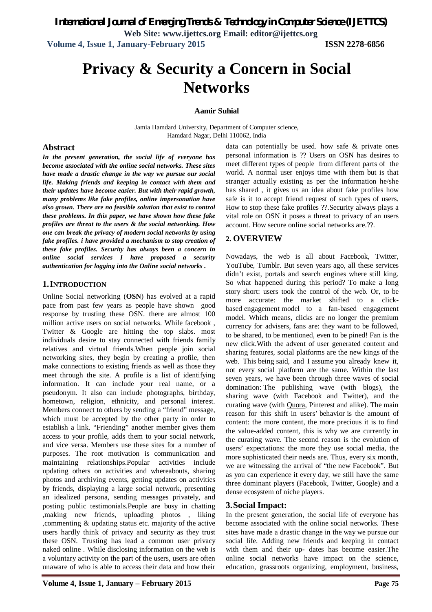**Volume 4, Issue 1, January-February 2015 ISSN 2278-6856**

# **Privacy & Security a Concern in Social Networks**

#### **Aamir Suhial**

Jamia Hamdard University, Department of Computer science, Hamdard Nagar, Delhi 110062, India

#### **Abstract**

*In the present generation, the social life of everyone has become associated with the online social networks. These sites have made a drastic change in the way we pursue our social life. Making friends and keeping in contact with them and their updates have become easier. But with their rapid growth, many problems like fake profiles, online impersonation have also grown. There are no feasible solution that exist to control these problems. In this paper, we have shown how these fake profiles are threat to the users & the social networking. How one can break the privacy of modern social networks by using fake profiles. i have provided a mechanism to stop creation of these fake profiles. Security has always been a concern in online social services I have proposed a security authentication for logging into the Online social networks .*

#### **1.INTRODUCTION**

Online Social networking (**OSN**) has evolved at a rapid pace from past few years as people have shown good response by trusting these OSN. there are almost 100 million active users on social networks. While facebook , Twitter & Google are hitting the top slabs. most individuals desire to stay connected with friends family relatives and virtual friends.When people join social networking sites, they begin by creating a profile, then make connections to existing friends as well as those they meet through the site. A profile is a list of identifying information. It can include your real name, or a pseudonym. It also can include photographs, birthday, hometown, religion, ethnicity, and personal interest. Members connect to others by sending a "friend" message, which must be accepted by the other party in order to establish a link. "Friending" another member gives them access to your profile, adds them to your social network, and vice versa. Members use these sites for a number of purposes. The root motivation is communication and maintaining relationships.Popular activities include updating others on activities and whereabouts, sharing photos and archiving events, getting updates on activities by friends, displaying a large social network, presenting an idealized persona, sending messages privately, and posting public testimonials.People are busy in chatting ,making new friends, uploading photos , liking ,commenting & updating status etc. majority of the active users hardly think of privacy and security as they trust these OSN. Trusting has lead a common user privacy naked online . While disclosing information on the web is a voluntary activity on the part of the users, users are often unaware of who is able to access their data and how their

data can potentially be used. how safe  $\&$  private ones personal information is ?? Users on OSN has desires to meet different types of people from different parts of the world. A normal user enjoys time with them but is that stranger actually existing as per the information he/she has shared , it gives us an idea about fake profiles how safe is it to accept friend request of such types of users. How to stop these fake profiles ??.Security always plays a vital role on OSN it poses a threat to privacy of an users account. How secure online social networks are.??.

#### **2. OVERVIEW**

Nowadays, the web is all about Facebook, Twitter, YouTube, Tumblr. But seven years ago, all these services didn't exist, portals and search engines where still king. So what happened during this period? To make a long story short: users took the control of the web. Or, to be more accurate: the market shifted to a clickbased engagement model to a fan-based engagement model. Which means, clicks are no longer the premium currency for advisers, fans are: they want to be followed, to be shared, to be mentioned, even to be pined! Fan is the new click.With the advent of user generated content and sharing features, social platforms are the new kings of the web. This being said, and I assume you already knew it, not every social platform are the same. Within the last seven years, we have been through three waves of social domination: The publishing wave (with blogs), the sharing wave (with Facebook and Twitter), and the curating wave (with Quora, Pinterest and alike). The main reason for this shift in users' behavior is the amount of content: the more content, the more precious it is to find the value-added content, this is why we are currently in the curating wave. The second reason is the evolution of users' expectations: the more they use social media, the more sophisticated their needs are. Thus, every six month, we are witnessing the arrival of "the new Facebook". But as you can experience it every day, we still have the same three dominant players (Facebook, Twitter, Google) and a dense ecosystem of niche players.

#### **3.Social Impact:**

In the present generation, the social life of everyone has become associated with the online social networks. These sites have made a drastic change in the way we pursue our social life. Adding new friends and keeping in contact with them and their up- dates has become easier.The online social networks have impact on the science, education, grassroots organizing, employment, business,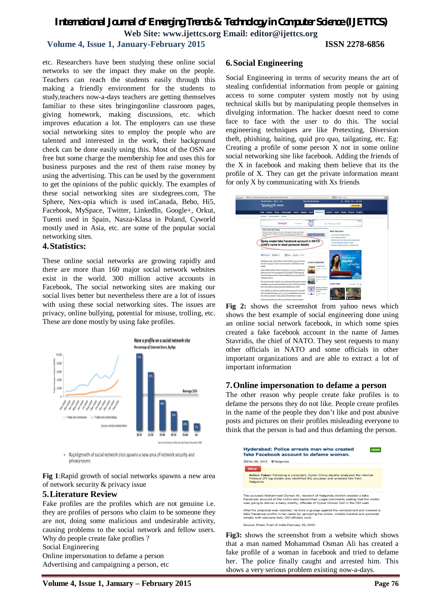### **Volume 4, Issue 1, January-February 2015 ISSN 2278-6856**

etc. Researchers have been studying these online social networks to see the impact they make on the people. Teachers can reach the students easily through this making a friendly environment for the students to study,teachers now-a-days teachers are getting themselves familiar to these sites bringingonline classroom pages, giving homework, making discussions, etc. which improves education a lot. The employers can use these social networking sites to employ the people who are talented and interested in the work, their background check can be done easily using this. Most of the OSN are free but some charge the membership fee and uses this for business purposes and the rest of them raise money by using the advertising. This can be used by the government to get the opinions of the public quickly. The examples of these social networking sites are sixdegrees.com, The Sphere, Nex-opia which is used inCanada, Bebo, Hi5, Facebook, MySpace, Twitter, LinkedIn, Google+, Orkut, Tuenti used in Spain, Nasza-Klasa in Poland, Cyworld mostly used in Asia, etc. are some of the popular social networking sites.

#### **4.Statistics:**

These online social networks are growing rapidly and there are more than 160 major social network websites exist in the world. 300 million active accounts in Facebook, The social networking sites are making our social lives better but nevertheless there are a lot of issues with using these social networking sites. The issues are privacy, online bullying, potential for misuse, trolling, etc. These are done mostly by using fake profiles.



. Rapid growth of social network sites spawns a new area of network security and privacy issues

**Fig 1**:Rapid growth of social networks spawns a new area of network security & privacy issue

#### **5.Literature Review**

Fake profiles are the profiles which are not genuine i.e. they are profiles of persons who claim to be someone they are not, doing some malicious and undesirable activity, causing problems to the social network and fellow users. Why do people create fake proflies ?

#### Social Engineering

Online impersonation to defame a person Advertising and campaigning a person, etc

#### **6.Social Engineering**

Social Engineering in terms of security means the art of stealing confidential information from people or gaining access to some computer system mostly not by using technical skills but by manipulating people themselves in divulging information. The hacker doesnt need to come face to face with the user to do this. The social engineering techniques are like Pretexting, Diversion theft, phishing, baiting, quid pro quo, tailgating, etc. Eg: Creating a profile of some person X not in some online social networking site like facebook. Adding the friends of the X in facebook and making them believe that its the profile of X. They can get the private information meant for only X by communicating with Xs friends



**Fig 2:** shows the screenshot from yahoo news which shows the best example of social engineering done using an online social network facebook, in which some spies created a fake facebook account in the name of James Stavridis, the chief of NATO. They sent requests to many other officials in NATO and some officials in other important organizations and are able to extract a lot of important information

#### **7.Online impersonation to defame a person**

The other reason why people create fake profiles is to defame the persons they do not like. People create profiles in the name of the people they don't like and post abusive posts and pictures on their profiles misleading everyone to think that the person is bad and thus defaming the person.

|              | OFeb 26, 2012 P Nalgonda                                                                                                                                                       |
|--------------|--------------------------------------------------------------------------------------------------------------------------------------------------------------------------------|
| <b>Other</b> |                                                                                                                                                                                |
| Nalgonda.    | Action Taken: Following a complaint, Cyber Crime sleuths analysed the Internet<br>Protocol (IP) log details and identified the accused and arrested him from                   |
|              | The accused Mohammed Osman Ali, resident of Nalgonda district created a fake                                                                                                   |
|              | Facebook account of the victim and transmitted vulgar comments stating that the victim<br>was going to deliver a baby shortly, officials of Cyber Crimes Cell in the CID said. |
|              | After his proposal was rejected, he bore a grudge against the complainant and created a                                                                                        |
|              | fake Facebook profile in her name by uploading her photo, mobile number and personal                                                                                           |

**Fig3:** shows the screenshot from a website which shows that a man named Mohammad Osman Ali has created a fake profile of a woman in facebook and tried to defame her. The police finally caught and arrested him. This shows a very serious problem existing now-a-days.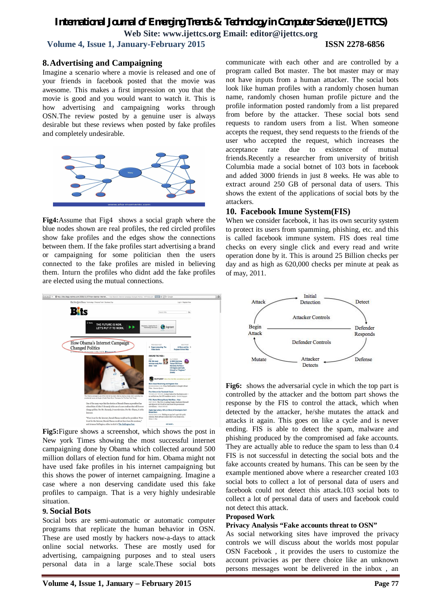### **Volume 4, Issue 1, January-February 2015 ISSN 2278-6856**

#### **8.Advertising and Campaigning**

Imagine a scenario where a movie is released and one of your friends in facebook posted that the movie was awesome. This makes a first impression on you that the movie is good and you would want to watch it. This is how advertising and campaigning works through OSN.The review posted by a genuine user is always desirable but these reviews when posted by fake profiles and completely undesirable.



**Fig4:**Assume that Fig4 shows a social graph where the blue nodes shown are real profiles, the red circled profiles show fake profiles and the edges show the connections between them. If the fake profiles start advertising a brand or campaigning for some politician then the users connected to the fake profiles are misled in believing them. Inturn the profiles who didnt add the fake profiles are elected using the mutual connections.



**Fig5:**Figure shows a screenshot, which shows the post in New york Times showing the most successful internet campaigning done by Obama which collected around 500 million dollars of election fund for him. Obama might not have used fake profiles in his internet campaigning but this shows the power of internet campaigning. Imagine a case where a non deserving candidate used this fake profiles to campaign. That is a very highly undesirable situation.

#### **9. Social Bots**

Social bots are semi-automatic or automatic computer programs that replicate the human behavior in OSN. These are used mostly by hackers now-a-days to attack online social networks. These are mostly used for advertising, campaigning purposes and to steal users personal data in a large scale.These social bots

communicate with each other and are controlled by a program called Bot master. The bot master may or may not have inputs from a human attacker. The social bots look like human profiles with a randomly chosen human name, randomly chosen human profile picture and the profile information posted randomly from a list prepared from before by the attacker. These social bots send requests to random users from a list. When someone accepts the request, they send requests to the friends of the user who accepted the request, which increases the acceptance rate due to existence of mutual friends.Recently a researcher from university of british Columbia made a social botnet of 103 bots in facebook and added 3000 friends in just 8 weeks. He was able to extract around 250 GB of personal data of users. This shows the extent of the applications of social bots by the attackers.

#### **10. Facebook Imune System(FIS)**

When we consider facebook, it has its own security system to protect its users from spamming, phishing, etc. and this is called facebook immune system. FIS does real time checks on every single click and every read and write operation done by it. This is around 25 Billion checks per day and as high as 620,000 checks per minute at peak as of may, 2011.



**Fig6:** shows the adversarial cycle in which the top part is controlled by the attacker and the bottom part shows the response by the FIS to control the attack, which when detected by the attacker, he/she mutates the attack and attacks it again. This goes on like a cycle and is never ending. FIS is able to detect the spam, malware and phishing produced by the compromised ad fake accounts. They are actually able to reduce the spam to less than 0.4 FIS is not successful in detecting the social bots and the fake accounts created by humans. This can be seen by the example mentioned above where a researcher created 103 social bots to collect a lot of personal data of users and facebook could not detect this attack.103 social bots to collect a lot of personal data of users and facebook could not detect this attack.

#### **Proposed Work**

#### **Privacy Analysis "Fake accounts threat to OSN"**

As social networking sites have improved the privacy controls we will discuss about the worlds most popular OSN Facebook , it provides the users to customize the account privacies as per there choice like an unknown persons messages wont be delivered in the inbox , an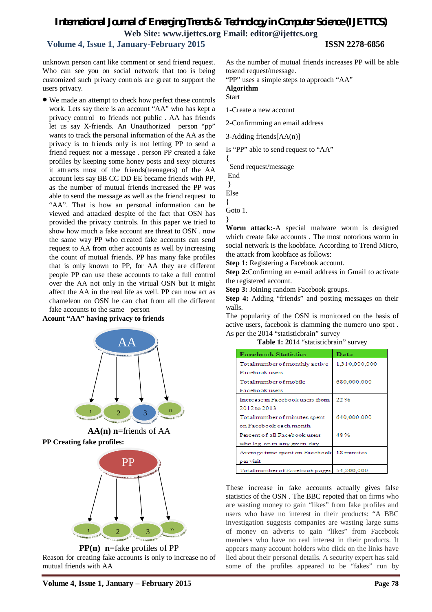#### **Volume 4, Issue 1, January-February 2015 ISSN 2278-6856**

unknown person cant like comment or send friend request. Who can see you on social network that too is being customized such privacy controls are great to support the users privacy.

 We made an attempt to check how perfect these controls work. Lets say there is an account "AA" who has kept a privacy control to friends not public . AA has friends let us say X-friends. An Unauthorized person "pp" wants to track the personal information of the AA as the privacy is to friends only is not letting PP to send a friend request nor a message . person PP created a fake profiles by keeping some honey posts and sexy pictures it attracts most of the friends(teenagers) of the AA account lets say BB CC DD EE became friends with PP, as the number of mutual friends increased the PP was able to send the message as well as the friend request to "AA". That is how an personal information can be viewed and attacked despite of the fact that OSN has provided the privacy controls. In this paper we tried to show how much a fake account are threat to OSN . now the same way PP who created fake accounts can send request to AA from other accounts as well by increasing the count of mutual friends. PP has many fake profiles that is only known to PP, for AA they are different people PP can use these accounts to take a full control over the AA not only in the virtual OSN but It might affect the AA in the real life as well. PP can now act as chameleon on OSN he can chat from all the different fake accounts to the same person

#### **Acount "AA" having privacy to friends**



**AA(n) n**=friends of AA **PP Creating fake profiles:**





As the number of mutual friends increases PP will be able tosend request/message.

"PP" uses a simple steps to approach "AA"

#### **Algorithm**

Start

1-Create a new account

2-Confirmming an email address

3-Adding friends[AA(n)]

Is "PP" able to send request to "AA"

Send request/message

End

}

{

Else

{

Goto 1. }

**Worm attack:-**A special malware worm is designed which create fake accounts . The most notorious worm in social network is the koobface. According to Trend Micro, the attack from koobface as follows:

**Step 1:** Registering a Facebook account.

**Step 2:**Confirming an e-mail address in Gmail to activate the registered account.

**Step 3:** Joining random Facebook groups.

**Step 4:** Adding "friends" and posting messages on their walls.

The popularity of the OSN is monitored on the basis of active users, facebook is clamming the numero uno spot . As per the 2014 "statisticbrain" survey

| <b>Facebook Statistics</b>                | Data          |
|-------------------------------------------|---------------|
| Total number of monthly active            | 1,310,000,000 |
| Facebook users                            |               |
| Total number of mobile                    | 680,000,000   |
| Facebook users                            |               |
| Increase in Facebook users from           | 22%           |
| 2012 to 2013                              |               |
| Total number of minutes spent             | 640,000,000   |
| on Facebook each month                    |               |
| Percent of all Facebook users             | 48%           |
| who log on in any given day               |               |
| Average time spent on Facebook            | 18 minutes    |
| pervisit                                  |               |
| Total number of Facebook pages 54,200,000 |               |

**Table 1: 2**014 "statisticbrain" survey

These increase in fake accounts actually gives false statistics of the OSN . The BBC repoted that on firms who are wasting money to gain "likes" from fake profiles and users who have no interest in their products: "A BBC investigation suggests companies are wasting large sums of money on adverts to gain "likes" from Facebook members who have no real interest in their products. It appears many account holders who click on the links have lied about their personal details. A security expert has said some of the profiles appeared to be "fakes" run by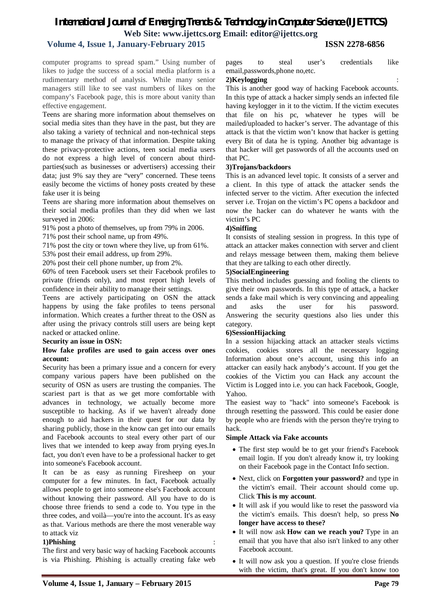#### **Volume 4, Issue 1, January-February 2015 ISSN 2278-6856**

pages to steal user's credentials like

computer programs to spread spam." Using number of likes to judge the success of a social media platform is a rudimentary method of analysis. While many senior managers still like to see vast numbers of likes on the company's Facebook page, this is more about vanity than effective engagement.

Teens are sharing more information about themselves on social media sites than they have in the past, but they are also taking a variety of technical and non-technical steps to manage the privacy of that information. Despite taking these privacy-protective actions, teen social media users do not express a high level of concern about thirdparties(such as businesses or advertisers) accessing their data; just 9% say they are "very" concerned. These teens easily become the victims of honey posts created by these fake user it is being

Teens are sharing more information about themselves on their social media profiles than they did when we last surveyed in 2006:

91% post a photo of themselves, up from 79% in 2006.

71% post their school name, up from 49%.

71% post the city or town where they live, up from 61%.

53% post their email address, up from 29%.

20% post their cell phone number, up from 2%.

60% of teen Facebook users set their Facebook profiles to private (friends only), and most report high levels of confidence in their ability to manage their settings.

Teens are actively participating on OSN the attack happens by using the fake profiles to teens personal information. Which creates a further threat to the OSN as after using the privacy controls still users are being kept nacked or attacked online.

#### **Security an issue in OSN:**

#### **How fake profiles are used to gain access over ones account:**

Security has been a primary issue and a concern for every company various papers have been published on the security of OSN as users are trusting the companies. The scariest part is that as we get more comfortable with advances in technology, we actually become more susceptible to hacking. As if we haven't already done enough to aid hackers in their quest for our data by sharing publicly, those in the know can get into our emails and Facebook accounts to steal every other part of our lives that we intended to keep away from prying eyes.In fact, you don't even have to be a professional hacker to get into someone's Facebook account.

It can be as easy as running Firesheep on your computer for a few minutes. In fact, Facebook actually allows people to get into someone else's Facebook account without knowing their password. All you have to do is choose three friends to send a code to. You type in the three codes, and voilà—you're into the account. It's as easy as that. Various methods are there the most venerable way to attack viz

#### **1)Phishing** :

The first and very basic way of hacking Facebook accounts is via Phishing. Phishing is actually creating fake web This is another good way of hacking Facebook accounts. In this type of attack a hacker simply sends an infected file having keylogger in it to the victim. If the victim executes that file on his pc, whatever he types will be mailed/uploaded to hacker's server. The advantage of this attack is that the victim won't know that hacker is getting every Bit of data he is typing. Another big advantage is that hacker will get passwords of all the accounts used on that PC.

#### **3)Trojans/backdoors**

This is an advanced level topic. It consists of a server and a client. In this type of attack the attacker sends the infected server to the victim. After execution the infected server i.e. Trojan on the victim's PC opens a backdoor and now the hacker can do whatever he wants with the victim's PC

#### **4)Sniffing**

It consists of stealing session in progress. In this type of attack an attacker makes connection with server and client and relays message between them, making them believe that they are talking to each other directly.

#### **5)SocialEngineering**

This method includes guessing and fooling the clients to give their own passwords. In this type of attack, a hacker sends a fake mail which is very convincing and appealing and asks the user for his password. Answering the security questions also lies under this category.

#### **6)SessionHijacking**

In a session hijacking attack an attacker steals victims cookies, cookies stores all the necessary logging Information about one's account, using this info an attacker can easily hack anybody's account. If you get the cookies of the Victim you can Hack any account the Victim is Logged into i.e. you can hack Facebook, Google, Yahoo.

The easiest way to "hack" into someone's Facebook is through resetting the password. This could be easier done by people who are friends with the person they're trying to hack.

#### **Simple Attack via Fake accounts**

- The first step would be to get your friend's Facebook email login. If you don't already know it, try looking on their Facebook page in the Contact Info section.
- Next, click on **Forgotten your password?** and type in the victim's email. Their account should come up. Click **This is my account**.
- It will ask if you would like to reset the password via the victim's emails. This doesn't help, so press **No longer have access to these?**
- It will now ask **How can we reach you?** Type in an email that you have that also isn't linked to any other Facebook account.
- It will now ask you a question. If you're close friends with the victim, that's great. If you don't know too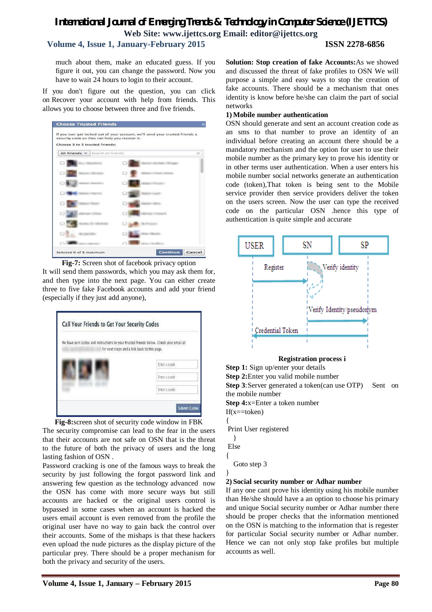### **Volume 4, Issue 1, January-February 2015 ISSN 2278-6856**

much about them, make an educated guess. If you figure it out, you can change the password. Now you have to wait 24 hours to login to their account.

If you don't figure out the question, you can click on Recover your account with help from friends. This allows you to choose between three and five friends.



**Fig-7:** Screen shot of facebook privacy option

It will send them passwords, which you may ask them for, and then type into the next page. You can either create three to five fake Facebook accounts and add your friend (especially if they just add anyone),

| We have sent codes and instructions to your trusted friends below. Check your email at<br>for next steps and a link back to this page. |
|----------------------------------------------------------------------------------------------------------------------------------------|
| Enter a code                                                                                                                           |
| Enter a code                                                                                                                           |
| Enter a code                                                                                                                           |

**Fig-8:**screen shot of security code window in FBK

The security compromise can lead to the fear in the users that their accounts are not safe on OSN that is the threat to the future of both the privacy of users and the long lasting fashion of OSN .

Password cracking is one of the famous ways to break the security by just following the forgot password link and answering few question as the technology advanced now the OSN has come with more secure ways but still accounts are hacked or the original users control is bypassed in some cases when an account is hacked the users email account is even removed from the profile the original user have no way to gain back the control over their accounts. Some of the mishaps is that these hackers even upload the nude pictures as the display picture of the particular prey. There should be a proper mechanism for both the privacy and security of the users.

**Solution: Stop creation of fake Accounts:**As we showed and discussed the threat of fake profiles to OSN We will purpose a simple and easy ways to stop the creation of fake accounts. There should be a mechanism that ones identity is know before he/she can claim the part of social networks

#### **1) Mobile number authentication**

OSN should generate and sent an account creation code as an sms to that number to prove an identity of an individual before creating an account there should be a mandatory mechanism and the option for user to use their mobile number as the primary key to prove his identity or in other terms user authentication. When a user enters his mobile number social networks generate an authentication code (token),That token is being sent to the Mobile service provider then service providers deliver the token on the users screen. Now the user can type the received code on the particular OSN .hence this type of authentication is quite simple and accurate



**Registration process i**

**Step 1:** Sign up/enter your details **Step 2:**Enter you valid mobile number **Step 3**: Server generated a token(can use OTP) Sent on the mobile number **Step 4:**x=Enter a token number If(x==token) { Print User registered }

Else

{

}

Goto step 3

#### **2) Social security number or Adhar number**

If any one cant prove his identity using his mobile number than He/she should have a an option to choose his primary and unique Social security number or Adhar number there should be proper checks that the information mentioned on the OSN is matching to the information that is regester for particular Social security number or Adhar number. Hence we can not only stop fake profiles but multiple accounts as well.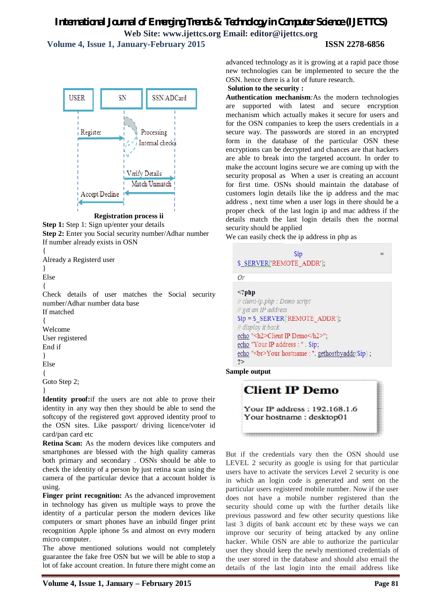#### *International Journal of Emerging Trends & Technology in Computer Science (IJETTCS)* **Web Site: www.ijettcs.org Email: editor@ijettcs.org Volume 4, Issue 1, January-February 2015 ISSN 2278-6856**



**Registration process ii**



{ Already a Registerd user

}

Else {

Check details of user matches the Social security number/Adhar number data base If matched

{ Welcome User registered End if } Else { Goto Step 2; }

**Identity proof:**if the users are not able to prove their identity in any way then they should be able to send the softcopy of the registered govt approved identity proof to the OSN sites. Like passport/ driving licence/voter id card/pan card etc

**Retina Scan:** As the modern devices like computers and smartphones are blessed with the high quality cameras both primary and secondary . OSNs should be able to check the identity of a person by just retina scan using the camera of the particular device that a account holder is using.

**Finger print recognition:** As the advanced improvement in technology has given us multiple ways to prove the identity of a particular person the modern devices like computers or smart phones have an inbuild finger print recognition Apple iphone 5s and almost on evry modern micro computer.

The above mentioned solutions would not completely guarantee the fake free OSN but we will be able to stop a lot of fake account creation. In future there might come an advanced technology as it is growing at a rapid pace those new technologies can be implemented to secure the the OSN. hence there is a lot of future research.

#### **Solution to the security :**

**Authentication mechanism***:*As the modern technologies are supported with latest and secure encryption mechanism which actually makes it secure for users and for the OSN companies to keep the users credentials in a secure way. The passwords are stored in an encrypted form in the database of the particular OSN these encryptions can be decrypted and chances are that hackers are able to break into the targeted account. In order to make the account logins secure we are coming up with the security proposal as When a user is creating an account for first time. OSNs should maintain the database of customers login details like the ip address and the mac address , next time when a user logs in there should be a proper check of the last login ip and mac address if the details match the last login details then the normal security should be applied

We can easily check the ip address in php as

|                      | Sip                                                |  |
|----------------------|----------------------------------------------------|--|
|                      | S SERVER['REMOTE ADDR'];                           |  |
| Or                   |                                                    |  |
| $\langle$ ?php       |                                                    |  |
|                      | // client-ip.php : Demo script                     |  |
| // get an IP address |                                                    |  |
|                      | $\text{Sip} = \text{S}$ SERVER ['REMOTE ADDR'];    |  |
| // display it back   |                                                    |  |
|                      | echo " <h2>Client IP Demo</h2> ";                  |  |
|                      | echo "Your IP address : " . \$ip;                  |  |
|                      | echo "<br>Your hostname : ". gethostbyaddr(\$ip) ; |  |
| ?                    |                                                    |  |

**Client IP Demo** Your IP address: 192.168.1.6 Your hostname: desktop01

But if the credentials vary then the OSN should use LEVEL 2 security as google is using for that particular users have to activate the services Level 2 security is one in which an login code is generated and sent on the particular users registered mobile number. Now if the user does not have a mobile number registered than the security should come up with the further details like previous password and few other security questions like last 3 digits of bank account etc by these ways we can improve our security of being attacked by any online hacker. While OSN are able to authorize the particular user they should keep the newly mentioned credentials of the user stored in the database and should also email the details of the last login into the email address like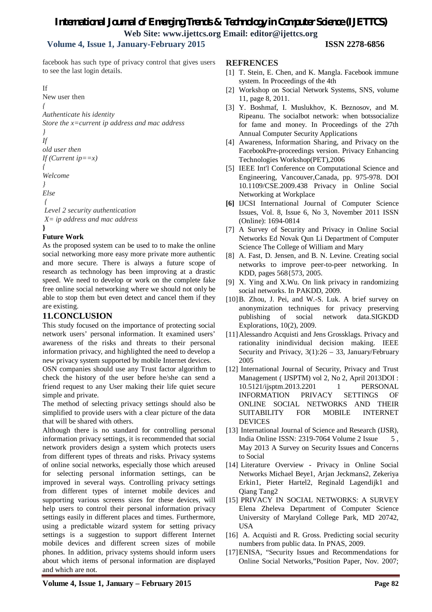#### **Volume 4, Issue 1, January-February 2015 ISSN 2278-6856**

facebook has such type of privacy control that gives users to see the last login details.

#### If

New user then *{ Authenticate his identity Store the x=current ip address and mac address } If old user then If (Current ip==x) { Welcome } Else { Level 2 security authentication X= ip address and mac address*

#### **} Future Work**

As the proposed system can be used to to make the online social networking more easy more private more authentic and more secure. There is always a future scope of research as technology has been improving at a drastic speed. We need to develop or work on the complete fake free online social networking where we should not only be able to stop them but even detect and cancel them if they are existing.

#### **11.CONCLUSION**

This study focused on the importance of protecting social network users' personal information. It examined users' awareness of the risks and threats to their personal information privacy, and highlighted the need to develop a new privacy system supported by mobile Internet devices.

OSN companies should use any Trust factor algorithm to check the history of the user before he/she can send a friend request to any User making their life quiet secure simple and private.

The method of selecting privacy settings should also be simplified to provide users with a clear picture of the data that will be shared with others.

Although there is no standard for controlling personal information privacy settings, it is recommended that social network providers design a system which protects users from different types of threats and risks. Privacy systems of online social networks, especially those which areused for selecting personal information settings, can be improved in several ways. Controlling privacy settings from different types of internet mobile devices and supporting various screens sizes for these devices, will help users to control their personal information privacy settings easily in different places and times. Furthermore, using a predictable wizard system for setting privacy settings is a suggestion to support different Internet mobile devices and different screen sizes of mobile phones. In addition, privacy systems should inform users about which items of personal information are displayed and which are not.

#### **REFRENCES**

- [1] T. Stein, E. Chen, and K. Mangla. Facebook immune system. In Proceedings of the 4th
- [2] Workshop on Social Network Systems, SNS, volume 11, page 8, 2011.
- [3] Y. Boshmaf, I. Muslukhov, K. Beznosov, and M. Ripeanu. The socialbot network: when botssocialize for fame and money. In Proceedings of the 27th Annual Computer Security Applications
- [4] Awareness, Information Sharing, and Privacy on the FacebookPre-proceedings version. Privacy Enhancing Technologies Workshop(PET),2006
- [5] IEEE Int'l Conference on Computational Science and Engineering, Vancouver,Canada, pp. 975-978. DOI 10.1109/CSE.2009.438 Privacy in Online Social Networking at Workplace
- **[6]** IJCSI International Journal of Computer Science Issues, Vol. 8, Issue 6, No 3, November 2011 ISSN (Online): 1694-0814
- [7] A Survey of Security and Privacy in Online Social Networks Ed Novak Qun Li Department of Computer Science The College of William and Mary
- [8] A. Fast, D. Jensen, and B. N. Levine. Creating social networks to improve peer-to-peer networking. In KDD, pages 568{573, 2005.
- [9] X. Ying and X.Wu. On link privacy in randomizing social networks. In PAKDD, 2009.
- [10] B. Zhou, J. Pei, and W.-S. Luk. A brief survey on anonymization techniques for privacy preserving publishing of social network data.SIGKDD Explorations, 10(2), 2009.
- [11]Alessandro Acquisti and Jens Grossklags. Privacy and rationality inindividual decision making. IEEE Security and Privacy,  $3(1)$ :26 – 33, January/February 2005
- [12] International Journal of Security, Privacy and Trust Management ( IJSPTM) vol 2, No 2, April 2013DOI : 10.5121/ijsptm.2013.2201 1 PERSONAL INFORMATION PRIVACY SETTINGS OF ONLINE SOCIAL NETWORKS AND THEIR SUITABILITY FOR MOBILE INTERNET DEVICES
- [13] International Journal of Science and Research (IJSR), India Online ISSN: 2319-7064 Volume 2 Issue 5, May 2013 A Survey on Security Issues and Concerns to Social
- [14] Literature Overview Privacy in Online Social Networks Michael Beye1, Arjan Jeckmans2, Zekeriya Erkin1, Pieter Hartel2, Reginald Lagendijk1 and Qiang Tang2
- [15] PRIVACY IN SOCIAL NETWORKS: A SURVEY Elena Zheleva Department of Computer Science University of Maryland College Park, MD 20742, USA
- [16] A. Acquisti and R. Gross. Predicting social security numbers from public data. In PNAS, 2009.
- [17]ENISA, "Security Issues and Recommendations for Online Social Networks,"Position Paper, Nov. 2007;